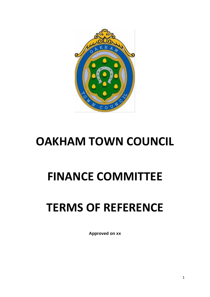

### **OAKHAM TOWN COUNCIL**

## **FINANCE COMMITTEE**

# **TERMS OF REFERENCE**

**Approved on xx**